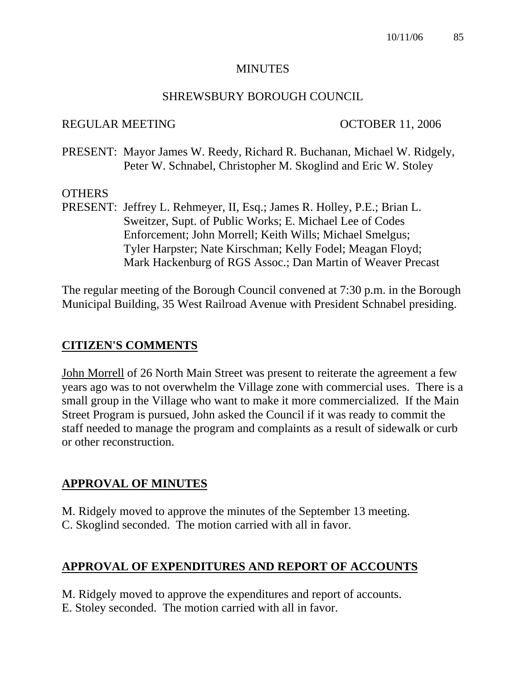### **MINUTES**

#### SHREWSBURY BOROUGH COUNCIL

#### REGULAR MEETING OCTOBER 11, 2006

PRESENT: Mayor James W. Reedy, Richard R. Buchanan, Michael W. Ridgely, Peter W. Schnabel, Christopher M. Skoglind and Eric W. Stoley

### **OTHERS**

PRESENT: Jeffrey L. Rehmeyer, II, Esq.; James R. Holley, P.E.; Brian L. Sweitzer, Supt. of Public Works; E. Michael Lee of Codes Enforcement; John Morrell; Keith Wills; Michael Smelgus; Tyler Harpster; Nate Kirschman; Kelly Fodel; Meagan Floyd; Mark Hackenburg of RGS Assoc.; Dan Martin of Weaver Precast

The regular meeting of the Borough Council convened at 7:30 p.m. in the Borough Municipal Building, 35 West Railroad Avenue with President Schnabel presiding.

### **CITIZEN'S COMMENTS**

John Morrell of 26 North Main Street was present to reiterate the agreement a few years ago was to not overwhelm the Village zone with commercial uses. There is a small group in the Village who want to make it more commercialized. If the Main Street Program is pursued, John asked the Council if it was ready to commit the staff needed to manage the program and complaints as a result of sidewalk or curb or other reconstruction.

# **APPROVAL OF MINUTES**

M. Ridgely moved to approve the minutes of the September 13 meeting. C. Skoglind seconded. The motion carried with all in favor.

# **APPROVAL OF EXPENDITURES AND REPORT OF ACCOUNTS**

M. Ridgely moved to approve the expenditures and report of accounts. E. Stoley seconded. The motion carried with all in favor.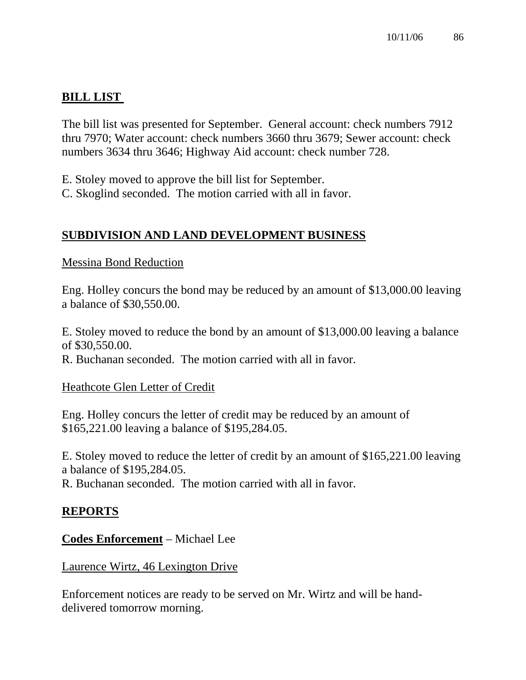# **BILL LIST**

The bill list was presented for September. General account: check numbers 7912 thru 7970; Water account: check numbers 3660 thru 3679; Sewer account: check numbers 3634 thru 3646; Highway Aid account: check number 728.

E. Stoley moved to approve the bill list for September.

C. Skoglind seconded. The motion carried with all in favor.

# **SUBDIVISION AND LAND DEVELOPMENT BUSINESS**

# Messina Bond Reduction

Eng. Holley concurs the bond may be reduced by an amount of \$13,000.00 leaving a balance of \$30,550.00.

E. Stoley moved to reduce the bond by an amount of \$13,000.00 leaving a balance of \$30,550.00.

R. Buchanan seconded. The motion carried with all in favor.

# Heathcote Glen Letter of Credit

Eng. Holley concurs the letter of credit may be reduced by an amount of \$165,221.00 leaving a balance of \$195,284.05.

E. Stoley moved to reduce the letter of credit by an amount of \$165,221.00 leaving a balance of \$195,284.05.

R. Buchanan seconded. The motion carried with all in favor.

# **REPORTS**

# **Codes Enforcement** – Michael Lee

# Laurence Wirtz, 46 Lexington Drive

Enforcement notices are ready to be served on Mr. Wirtz and will be handdelivered tomorrow morning.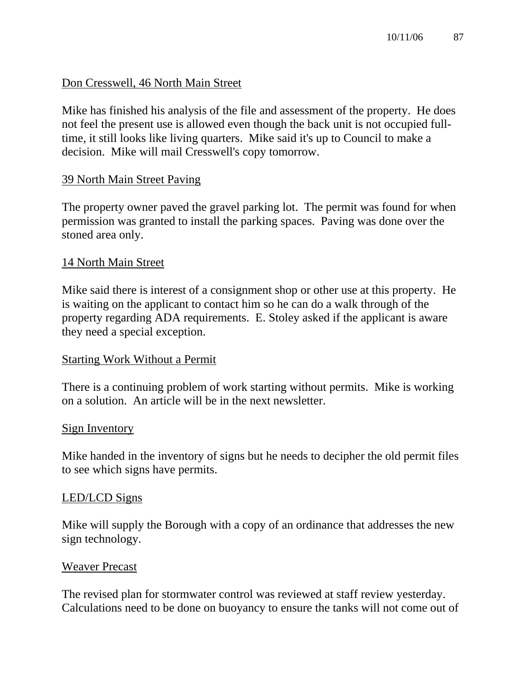## Don Cresswell, 46 North Main Street

Mike has finished his analysis of the file and assessment of the property. He does not feel the present use is allowed even though the back unit is not occupied fulltime, it still looks like living quarters. Mike said it's up to Council to make a decision. Mike will mail Cresswell's copy tomorrow.

## 39 North Main Street Paving

The property owner paved the gravel parking lot. The permit was found for when permission was granted to install the parking spaces. Paving was done over the stoned area only.

### 14 North Main Street

Mike said there is interest of a consignment shop or other use at this property. He is waiting on the applicant to contact him so he can do a walk through of the property regarding ADA requirements. E. Stoley asked if the applicant is aware they need a special exception.

### Starting Work Without a Permit

There is a continuing problem of work starting without permits. Mike is working on a solution. An article will be in the next newsletter.

### Sign Inventory

Mike handed in the inventory of signs but he needs to decipher the old permit files to see which signs have permits.

### LED/LCD Signs

Mike will supply the Borough with a copy of an ordinance that addresses the new sign technology.

### Weaver Precast

The revised plan for stormwater control was reviewed at staff review yesterday. Calculations need to be done on buoyancy to ensure the tanks will not come out of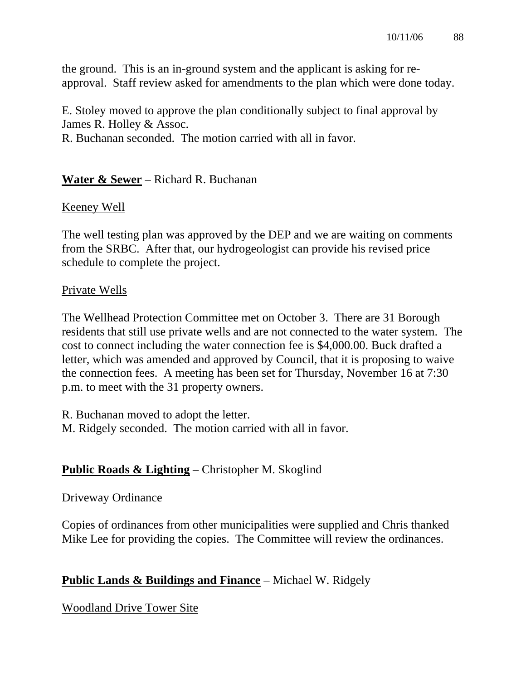the ground. This is an in-ground system and the applicant is asking for reapproval. Staff review asked for amendments to the plan which were done today.

E. Stoley moved to approve the plan conditionally subject to final approval by James R. Holley & Assoc.

R. Buchanan seconded. The motion carried with all in favor.

# **Water & Sewer** – Richard R. Buchanan

# Keeney Well

The well testing plan was approved by the DEP and we are waiting on comments from the SRBC. After that, our hydrogeologist can provide his revised price schedule to complete the project.

## Private Wells

The Wellhead Protection Committee met on October 3. There are 31 Borough residents that still use private wells and are not connected to the water system. The cost to connect including the water connection fee is \$4,000.00. Buck drafted a letter, which was amended and approved by Council, that it is proposing to waive the connection fees. A meeting has been set for Thursday, November 16 at 7:30 p.m. to meet with the 31 property owners.

R. Buchanan moved to adopt the letter. M. Ridgely seconded. The motion carried with all in favor.

# **Public Roads & Lighting** – Christopher M. Skoglind

### Driveway Ordinance

Copies of ordinances from other municipalities were supplied and Chris thanked Mike Lee for providing the copies. The Committee will review the ordinances.

# **Public Lands & Buildings and Finance** – Michael W. Ridgely

# Woodland Drive Tower Site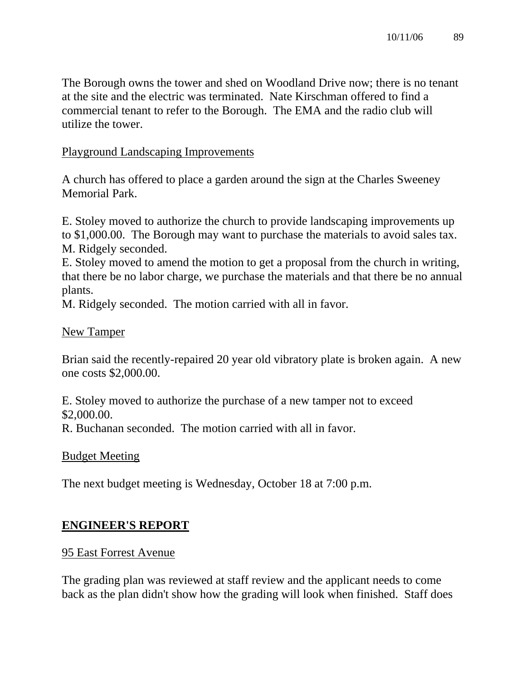The Borough owns the tower and shed on Woodland Drive now; there is no tenant at the site and the electric was terminated. Nate Kirschman offered to find a commercial tenant to refer to the Borough. The EMA and the radio club will utilize the tower.

# Playground Landscaping Improvements

A church has offered to place a garden around the sign at the Charles Sweeney Memorial Park.

E. Stoley moved to authorize the church to provide landscaping improvements up to \$1,000.00. The Borough may want to purchase the materials to avoid sales tax. M. Ridgely seconded.

E. Stoley moved to amend the motion to get a proposal from the church in writing, that there be no labor charge, we purchase the materials and that there be no annual plants.

M. Ridgely seconded. The motion carried with all in favor.

## New Tamper

Brian said the recently-repaired 20 year old vibratory plate is broken again. A new one costs \$2,000.00.

E. Stoley moved to authorize the purchase of a new tamper not to exceed \$2,000.00.

R. Buchanan seconded. The motion carried with all in favor.

### Budget Meeting

The next budget meeting is Wednesday, October 18 at 7:00 p.m.

# **ENGINEER'S REPORT**

### 95 East Forrest Avenue

The grading plan was reviewed at staff review and the applicant needs to come back as the plan didn't show how the grading will look when finished. Staff does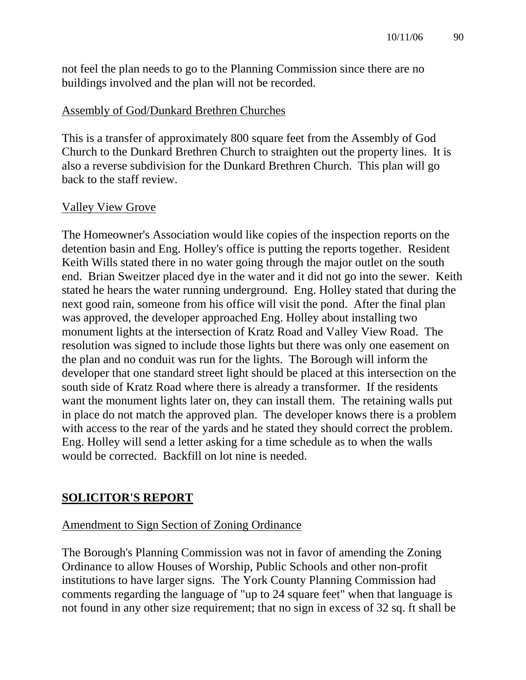not feel the plan needs to go to the Planning Commission since there are no buildings involved and the plan will not be recorded.

### Assembly of God/Dunkard Brethren Churches

This is a transfer of approximately 800 square feet from the Assembly of God Church to the Dunkard Brethren Church to straighten out the property lines. It is also a reverse subdivision for the Dunkard Brethren Church. This plan will go back to the staff review.

# Valley View Grove

The Homeowner's Association would like copies of the inspection reports on the detention basin and Eng. Holley's office is putting the reports together. Resident Keith Wills stated there in no water going through the major outlet on the south end. Brian Sweitzer placed dye in the water and it did not go into the sewer. Keith stated he hears the water running underground. Eng. Holley stated that during the next good rain, someone from his office will visit the pond. After the final plan was approved, the developer approached Eng. Holley about installing two monument lights at the intersection of Kratz Road and Valley View Road. The resolution was signed to include those lights but there was only one easement on the plan and no conduit was run for the lights. The Borough will inform the developer that one standard street light should be placed at this intersection on the south side of Kratz Road where there is already a transformer. If the residents want the monument lights later on, they can install them. The retaining walls put in place do not match the approved plan. The developer knows there is a problem with access to the rear of the yards and he stated they should correct the problem. Eng. Holley will send a letter asking for a time schedule as to when the walls would be corrected. Backfill on lot nine is needed.

# **SOLICITOR'S REPORT**

### Amendment to Sign Section of Zoning Ordinance

The Borough's Planning Commission was not in favor of amending the Zoning Ordinance to allow Houses of Worship, Public Schools and other non-profit institutions to have larger signs. The York County Planning Commission had comments regarding the language of "up to 24 square feet" when that language is not found in any other size requirement; that no sign in excess of 32 sq. ft shall be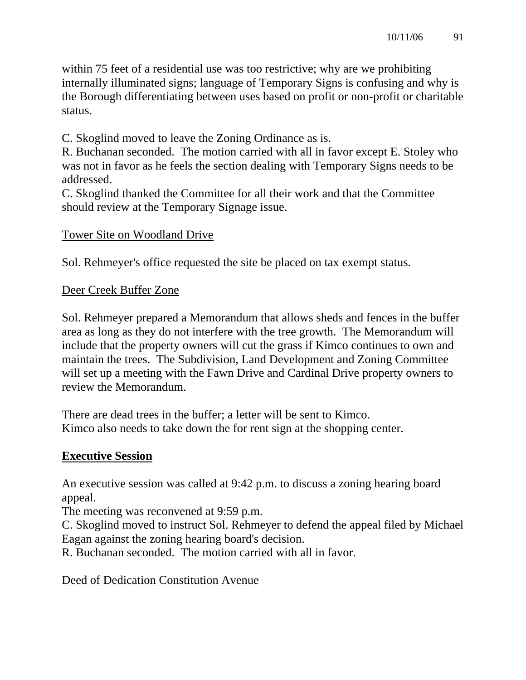within 75 feet of a residential use was too restrictive; why are we prohibiting internally illuminated signs; language of Temporary Signs is confusing and why is the Borough differentiating between uses based on profit or non-profit or charitable status.

C. Skoglind moved to leave the Zoning Ordinance as is.

R. Buchanan seconded. The motion carried with all in favor except E. Stoley who was not in favor as he feels the section dealing with Temporary Signs needs to be addressed.

C. Skoglind thanked the Committee for all their work and that the Committee should review at the Temporary Signage issue.

# Tower Site on Woodland Drive

Sol. Rehmeyer's office requested the site be placed on tax exempt status.

# Deer Creek Buffer Zone

Sol. Rehmeyer prepared a Memorandum that allows sheds and fences in the buffer area as long as they do not interfere with the tree growth. The Memorandum will include that the property owners will cut the grass if Kimco continues to own and maintain the trees. The Subdivision, Land Development and Zoning Committee will set up a meeting with the Fawn Drive and Cardinal Drive property owners to review the Memorandum.

There are dead trees in the buffer; a letter will be sent to Kimco. Kimco also needs to take down the for rent sign at the shopping center.

# **Executive Session**

An executive session was called at 9:42 p.m. to discuss a zoning hearing board appeal.

The meeting was reconvened at 9:59 p.m.

C. Skoglind moved to instruct Sol. Rehmeyer to defend the appeal filed by Michael Eagan against the zoning hearing board's decision.

R. Buchanan seconded. The motion carried with all in favor.

Deed of Dedication Constitution Avenue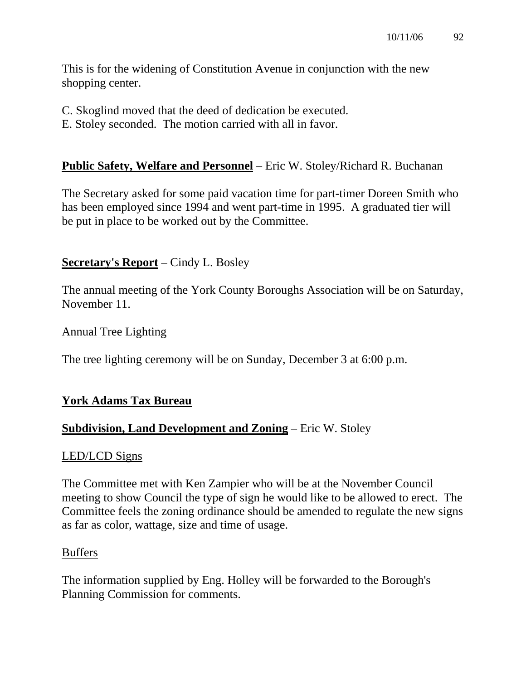This is for the widening of Constitution Avenue in conjunction with the new shopping center.

- C. Skoglind moved that the deed of dedication be executed.
- E. Stoley seconded. The motion carried with all in favor.

# **Public Safety, Welfare and Personnel** – Eric W. Stoley/Richard R. Buchanan

The Secretary asked for some paid vacation time for part-timer Doreen Smith who has been employed since 1994 and went part-time in 1995. A graduated tier will be put in place to be worked out by the Committee.

# **Secretary's Report** – Cindy L. Bosley

The annual meeting of the York County Boroughs Association will be on Saturday, November 11.

## Annual Tree Lighting

The tree lighting ceremony will be on Sunday, December 3 at 6:00 p.m.

# **York Adams Tax Bureau**

# **Subdivision, Land Development and Zoning** – Eric W. Stoley

# LED/LCD Signs

The Committee met with Ken Zampier who will be at the November Council meeting to show Council the type of sign he would like to be allowed to erect. The Committee feels the zoning ordinance should be amended to regulate the new signs as far as color, wattage, size and time of usage.

# Buffers

The information supplied by Eng. Holley will be forwarded to the Borough's Planning Commission for comments.